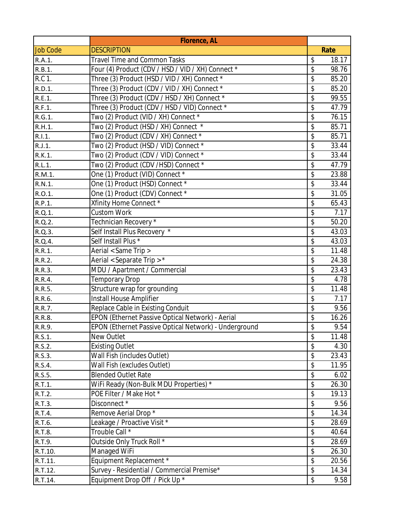|                 | <b>Florence, AL</b>                                   |             |
|-----------------|-------------------------------------------------------|-------------|
| <b>Job Code</b> | <b>DESCRIPTION</b>                                    | Rate        |
| R.A.1.          | Travel Time and Common Tasks                          | \$<br>18.17 |
| R.B.1.          | Four (4) Product (CDV / HSD / VID / XH) Connect *     | \$<br>98.76 |
| R.C 1.          | Three (3) Product (HSD / VID / XH) Connect *          | \$<br>85.20 |
| R.D.1.          | Three (3) Product (CDV / VID / XH) Connect *          | \$<br>85.20 |
| R.E.1.          | Three (3) Product (CDV / HSD / XH) Connect *          | \$<br>99.55 |
| R.F.1.          | Three (3) Product (CDV / HSD / VID) Connect *         | \$<br>47.79 |
| R.G.1.          | Two (2) Product (VID / XH) Connect *                  | \$<br>76.15 |
| R.H.1.          | Two (2) Product (HSD / XH) Connect *                  | \$<br>85.71 |
| R.I.1.          | Two (2) Product (CDV / XH) Connect *                  | \$<br>85.71 |
| R.J.1.          | Two (2) Product (HSD / VID) Connect *                 | \$<br>33.44 |
| R.K.1.          | Two (2) Product (CDV / VID) Connect *                 | \$<br>33.44 |
| R.L.1.          | Two (2) Product (CDV /HSD) Connect *                  | \$<br>47.79 |
| R.M.1.          | One (1) Product (VID) Connect *                       | \$<br>23.88 |
| R.N.1.          | One (1) Product (HSD) Connect *                       | \$<br>33.44 |
| R.O.1.          | One (1) Product (CDV) Connect *                       | \$<br>31.05 |
| R.P.1.          | Xfinity Home Connect *                                | \$<br>65.43 |
| R.Q.1.          | <b>Custom Work</b>                                    | \$<br>7.17  |
| R.Q.2.          | Technician Recovery *                                 | \$<br>50.20 |
| R.Q.3.          | Self Install Plus Recovery *                          | \$<br>43.03 |
| R.Q.4.          | Self Install Plus *                                   | \$<br>43.03 |
| R.R.1.          | Aerial < Same Trip >                                  | \$<br>11.48 |
| R.R.2.          | Aerial < Separate Trip > *                            | \$<br>24.38 |
| R.R.3.          | MDU / Apartment / Commercial                          | \$<br>23.43 |
| R.R.4.          | <b>Temporary Drop</b>                                 | \$<br>4.78  |
| R.R.5.          | Structure wrap for grounding                          | \$<br>11.48 |
| R.R.6.          | Install House Amplifier                               | \$<br>7.17  |
| R.R.7.          | Replace Cable in Existing Conduit                     | \$<br>9.56  |
| R.R.8.          | EPON (Ethernet Passive Optical Network) - Aerial      | \$<br>16.26 |
| R.R.9.          | EPON (Ethernet Passive Optical Network) - Underground | \$<br>9.54  |
| R.S.1.          | New Outlet                                            | \$<br>11.48 |
| R.S.2.          | <b>Existing Outlet</b>                                | \$<br>4.30  |
| R.S.3.          | Wall Fish (includes Outlet)                           | \$<br>23.43 |
| R.S.4.          | Wall Fish (excludes Outlet)                           | \$<br>11.95 |
| R.S.5.          | <b>Blended Outlet Rate</b>                            | \$<br>6.02  |
| R.T.1.          | WiFi Ready (Non-Bulk MDU Properties) *                | \$<br>26.30 |
| R.T.2.          | POE Filter / Make Hot *                               | \$<br>19.13 |
| R.T.3.          | Disconnect *                                          | \$<br>9.56  |
| R.T.4.          | Remove Aerial Drop *                                  | \$<br>14.34 |
| R.T.6.          | Leakage / Proactive Visit *                           | \$<br>28.69 |
| R.T.8.          | Trouble Call *                                        | \$<br>40.64 |
| R.T.9.          | Outside Only Truck Roll *                             | \$<br>28.69 |
| R.T.10.         | Managed WiFi                                          | \$<br>26.30 |
| R.T.11.         | Equipment Replacement *                               | \$<br>20.56 |
| R.T.12.         | Survey - Residential / Commercial Premise*            | \$<br>14.34 |
| R.T.14.         | Equipment Drop Off / Pick Up *                        | \$<br>9.58  |